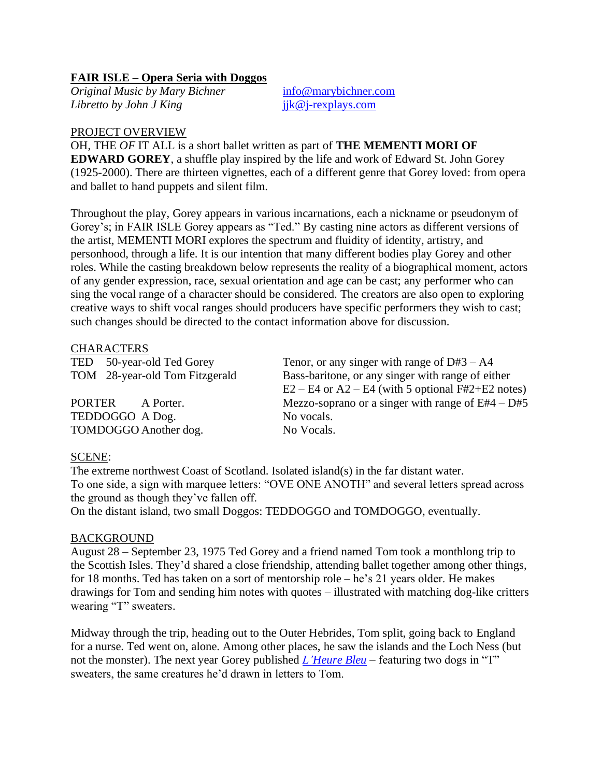# **FAIR ISLE – Opera Seria with Doggos**

*Original Music by Mary Bichner* [info@marybichner.com](mailto:info@marybichner.com) *Libretto by John J King* jik@j-rexplays.com

### PROJECT OVERVIEW

OH, THE *OF* IT ALL is a short ballet written as part of **THE MEMENTI MORI OF EDWARD GOREY**, a shuffle play inspired by the life and work of Edward St. John Gorey (1925-2000). There are thirteen vignettes, each of a different genre that Gorey loved: from opera and ballet to hand puppets and silent film.

Throughout the play, Gorey appears in various incarnations, each a nickname or pseudonym of Gorey's; in FAIR ISLE Gorey appears as "Ted." By casting nine actors as different versions of the artist, MEMENTI MORI explores the spectrum and fluidity of identity, artistry, and personhood, through a life. It is our intention that many different bodies play Gorey and other roles. While the casting breakdown below represents the reality of a biographical moment, actors of any gender expression, race, sexual orientation and age can be cast; any performer who can sing the vocal range of a character should be considered. The creators are also open to exploring creative ways to shift vocal ranges should producers have specific performers they wish to cast; such changes should be directed to the contact information above for discussion.

# **CHARACTERS**

| Tenor, or any singer with range of $D#3 - A4$         |
|-------------------------------------------------------|
| Bass-baritone, or any singer with range of either     |
| $E2 - E4$ or $A2 - E4$ (with 5 optional F#2+E2 notes) |
| Mezzo-soprano or a singer with range of $E#4 - D#5$   |
| No vocals.                                            |
| No Vocals.                                            |
|                                                       |

# SCENE:

The extreme northwest Coast of Scotland. Isolated island(s) in the far distant water. To one side, a sign with marquee letters: "OVE ONE ANOTH" and several letters spread across the ground as though they've fallen off.

On the distant island, two small Doggos: TEDDOGGO and TOMDOGGO, eventually.

# BACKGROUND

August 28 – September 23, 1975 Ted Gorey and a friend named Tom took a monthlong trip to the Scottish Isles. They'd shared a close friendship, attending ballet together among other things, for 18 months. Ted has taken on a sort of mentorship role – he's 21 years older. He makes drawings for Tom and sending him notes with quotes – illustrated with matching dog-like critters wearing "T" sweaters.

Midway through the trip, heading out to the Outer Hebrides, Tom split, going back to England for a nurse. Ted went on, alone. Among other places, he saw the islands and the Loch Ness (but not the monster). The next year Gorey published *[L'Heure Bleu](https://i.pinimg.com/474x/9a/ec/b1/9aecb1f1e86dfb7b8994e1e197bcd388--edward-gorey-.jpg)* – featuring two dogs in "T" sweaters, the same creatures he'd drawn in letters to Tom.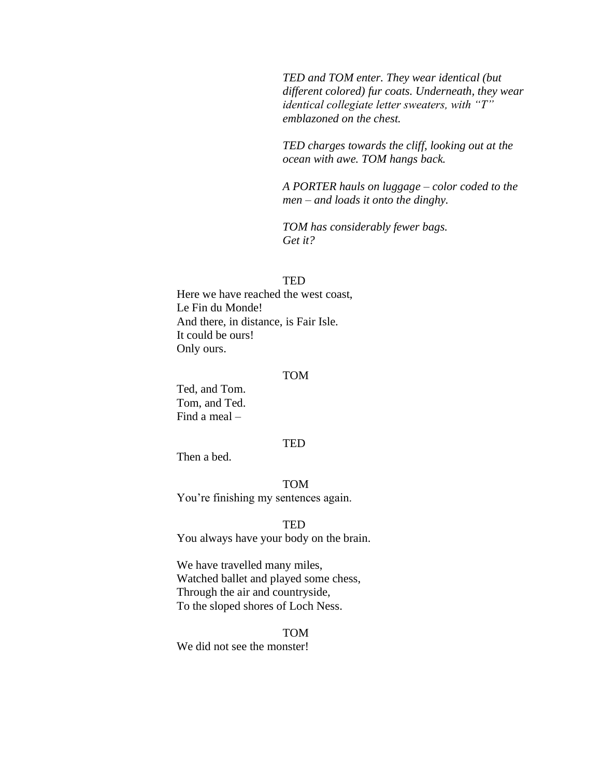*TED and TOM enter. They wear identical (but different colored) fur coats. Underneath, they wear identical collegiate letter sweaters, with "T" emblazoned on the chest.*

*TED charges towards the cliff, looking out at the ocean with awe. TOM hangs back.*

*A PORTER hauls on luggage – color coded to the men – and loads it onto the dinghy.*

*TOM has considerably fewer bags. Get it?*

#### TED

Here we have reached the west coast, Le Fin du Monde! And there, in distance, is Fair Isle. It could be ours! Only ours.

#### TOM

Ted, and Tom. Tom, and Ted. Find a meal –

#### TED

Then a bed.

TOM

You're finishing my sentences again.

#### TED

You always have your body on the brain.

We have travelled many miles, Watched ballet and played some chess, Through the air and countryside, To the sloped shores of Loch Ness.

TOM We did not see the monster!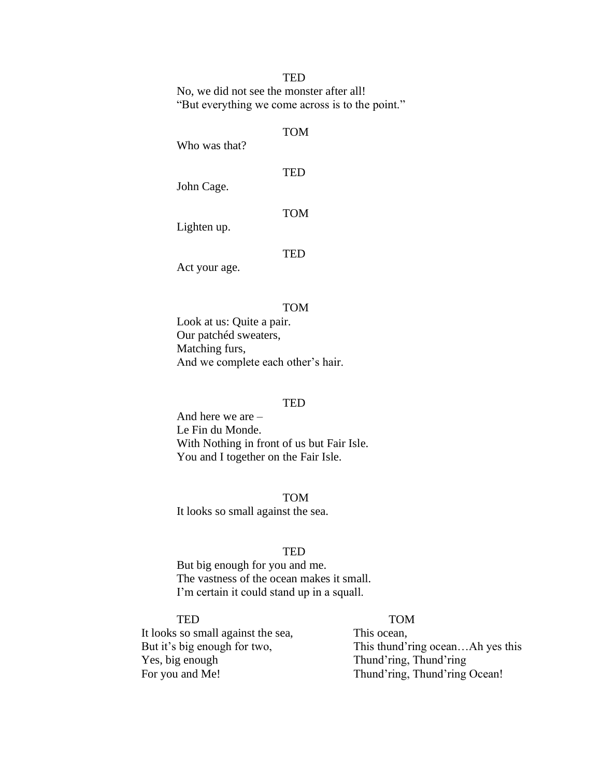# **TED**

No, we did not see the monster after all! "But everything we come across is to the point."

# TOM

Who was that?

John Cage.

TOM

TED

Lighten up.

# **TED**

Act your age.

#### TOM

Look at us: Quite a pair. Our patchéd sweaters, Matching furs, And we complete each other's hair.

#### **TED**

And here we are – Le Fin du Monde. With Nothing in front of us but Fair Isle. You and I together on the Fair Isle.

TOM It looks so small against the sea.

### TED

But big enough for you and me. The vastness of the ocean makes it small. I'm certain it could stand up in a squall.

# TED TOM

It looks so small against the sea, This ocean, Yes, big enough Thund'ring, Thund'ring

But it's big enough for two, This thund'ring ocean...Ah yes this For you and Me! Thund'ring, Thund'ring Ocean!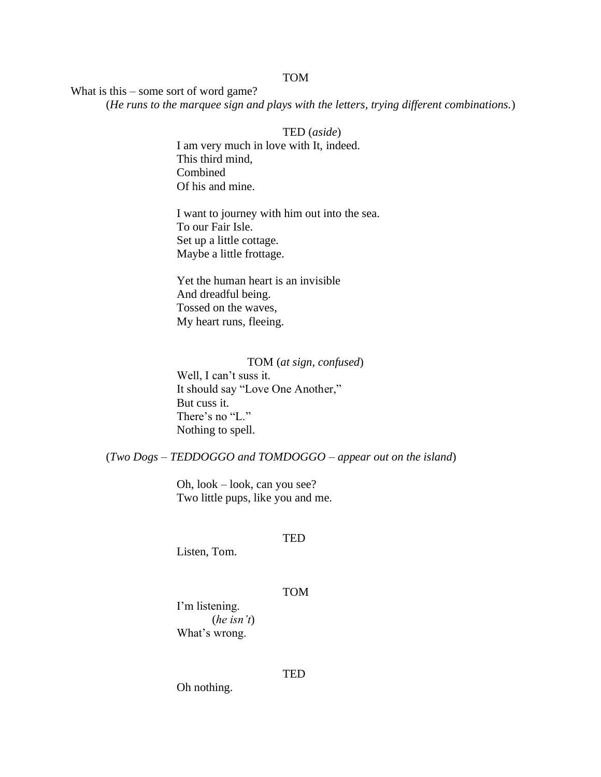# TOM

What is this – some sort of word game?

(*He runs to the marquee sign and plays with the letters, trying different combinations.*)

TED (*aside*) I am very much in love with It, indeed. This third mind, Combined Of his and mine.

I want to journey with him out into the sea. To our Fair Isle. Set up a little cottage. Maybe a little frottage.

Yet the human heart is an invisible And dreadful being. Tossed on the waves, My heart runs, fleeing.

TOM (*at sign, confused*) Well, I can't suss it. It should say "Love One Another," But cuss it. There's no "L."

Nothing to spell.

(*Two Dogs – TEDDOGGO and TOMDOGGO – appear out on the island*)

Oh, look – look, can you see? Two little pups, like you and me.

#### **TED**

Listen, Tom.

#### TOM

I'm listening. (*he isn't*) What's wrong.

Oh nothing.

**TED**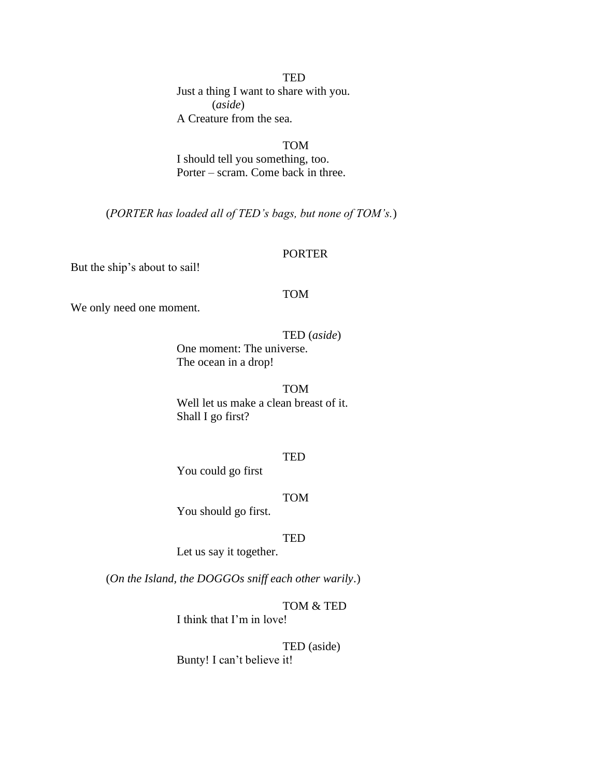**TED** Just a thing I want to share with you. (*aside*) A Creature from the sea.

TOM I should tell you something, too. Porter – scram. Come back in three.

(*PORTER has loaded all of TED's bags, but none of TOM's.*)

#### PORTER

But the ship's about to sail!

#### TOM

We only need one moment.

TED (*aside*)

One moment: The universe. The ocean in a drop!

#### TOM

Well let us make a clean breast of it. Shall I go first?

#### TED

You could go first

#### TOM

You should go first.

#### TED

Let us say it together.

(*On the Island, the DOGGOs sniff each other warily*.)

# TOM & TED

I think that I'm in love!

TED (aside) Bunty! I can't believe it!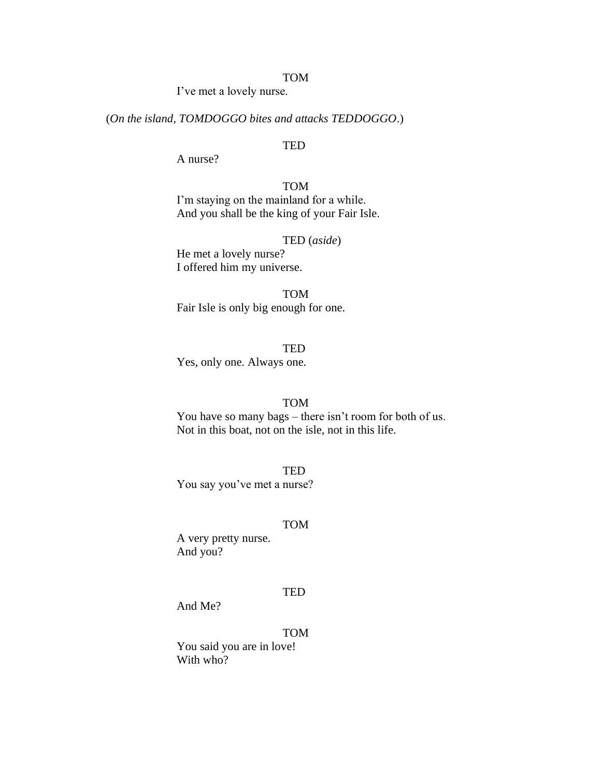#### TOM

I've met a lovely nurse.

# (*On the island, TOMDOGGO bites and attacks TEDDOGGO*.)

# TED

A nurse?

TOM I'm staying on the mainland for a while. And you shall be the king of your Fair Isle.

# TED (*aside*)

He met a lovely nurse? I offered him my universe.

TOM Fair Isle is only big enough for one.

**TED** Yes, only one. Always one.

#### TOM

You have so many bags – there isn't room for both of us. Not in this boat, not on the isle, not in this life.

**TED** You say you've met a nurse?

#### TOM

A very pretty nurse. And you?

#### TED

And Me?

# TOM

You said you are in love! With who?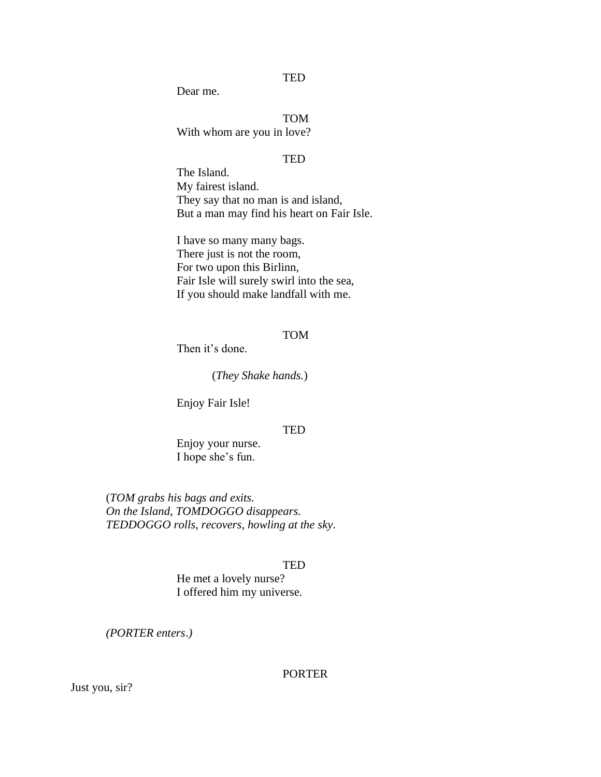**TED** 

Dear me.

TOM With whom are you in love?

#### **TED**

The Island. My fairest island. They say that no man is and island, But a man may find his heart on Fair Isle.

I have so many many bags. There just is not the room, For two upon this Birlinn, Fair Isle will surely swirl into the sea, If you should make landfall with me.

#### TOM

Then it's done.

(*They Shake hands.*)

Enjoy Fair Isle!

#### TED

Enjoy your nurse. I hope she's fun.

(*TOM grabs his bags and exits. On the Island, TOMDOGGO disappears. TEDDOGGO rolls, recovers, howling at the sky*.

#### TED

He met a lovely nurse? I offered him my universe.

*(PORTER enters*.*)*

### PORTER

Just you, sir?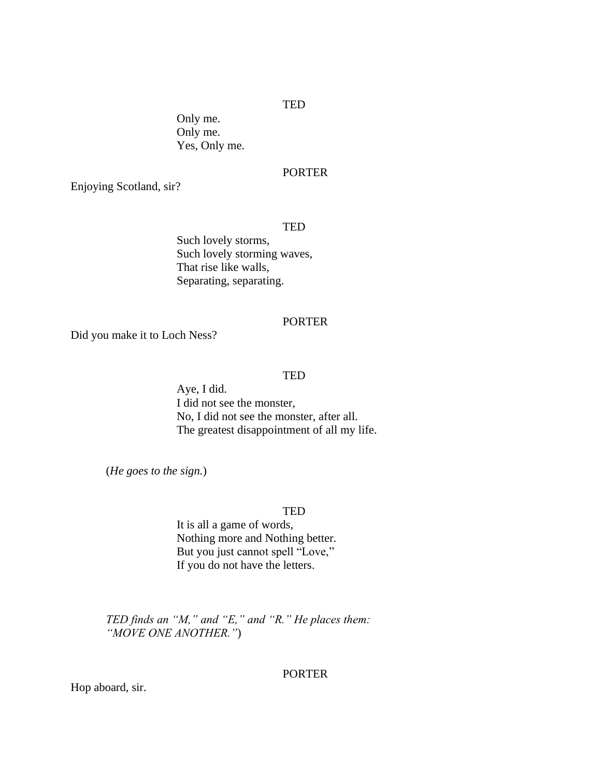#### TED

Only me. Only me. Yes, Only me.

# PORTER

Enjoying Scotland, sir?

## TED

Such lovely storms, Such lovely storming waves, That rise like walls, Separating, separating.

#### PORTER

Did you make it to Loch Ness?

#### TED

Aye, I did. I did not see the monster, No, I did not see the monster, after all. The greatest disappointment of all my life.

(*He goes to the sign.*)

#### TED

It is all a game of words, Nothing more and Nothing better. But you just cannot spell "Love," If you do not have the letters.

*TED finds an "M," and "E," and "R." He places them: "MOVE ONE ANOTHER."*)

#### PORTER

Hop aboard, sir.